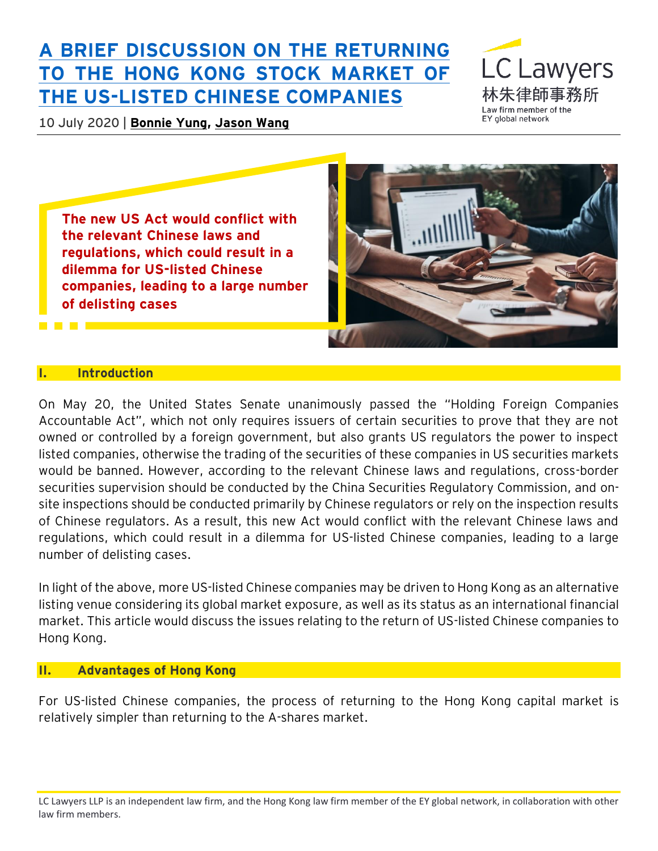# **[A BRIEF DISCUSSION ON THE RETURNING](https://www.eylaw.com.hk/en_hk/publications/our-latest-thinking/2020/july/a-brief-discussion-on-the-returning-to-the-hong-kong-stock-market)  [TO THE HONG KONG STOCK MARKET OF](https://www.eylaw.com.hk/en_hk/publications/our-latest-thinking/2020/july/a-brief-discussion-on-the-returning-to-the-hong-kong-stock-market)  [THE US-LISTED CHINESE COMPANIES](https://www.eylaw.com.hk/en_hk/publications/our-latest-thinking/2020/july/a-brief-discussion-on-the-returning-to-the-hong-kong-stock-market)**

10 July 2020 | **[Bonnie Yung,](https://www.eylaw.com.hk/en_hk/people/bonnie-yung) [Jason Wang](https://www.eylaw.com.hk/en_hk/people/jason-wang)**



**The new US Act would conflict with the relevant Chinese laws and regulations, which could result in a dilemma for US-listed Chinese companies, leading to a large number of delisting cases**



#### **I. Introduction**

On May 20, the United States Senate unanimously passed the "Holding Foreign Companies Accountable Act", which not only requires issuers of certain securities to prove that they are not owned or controlled by a foreign government, but also grants US regulators the power to inspect listed companies, otherwise the trading of the securities of these companies in US securities markets would be banned. However, according to the relevant Chinese laws and regulations, cross-border securities supervision should be conducted by the China Securities Regulatory Commission, and onsite inspections should be conducted primarily by Chinese regulators or rely on the inspection results of Chinese regulators. As a result, this new Act would conflict with the relevant Chinese laws and regulations, which could result in a dilemma for US-listed Chinese companies, leading to a large number of delisting cases.

In light of the above, more US-listed Chinese companies may be driven to Hong Kong as an alternative listing venue considering its global market exposure, as well as its status as an international financial market. This article would discuss the issues relating to the return of US-listed Chinese companies to Hong Kong.

#### **II. Advantages of Hong Kong**

For US-listed Chinese companies, the process of returning to the Hong Kong capital market is relatively simpler than returning to the A-shares market.

LC Lawyers LLP is an independent law firm, and the Hong Kong law firm member of the EY global network, in collaboration with other law firm members.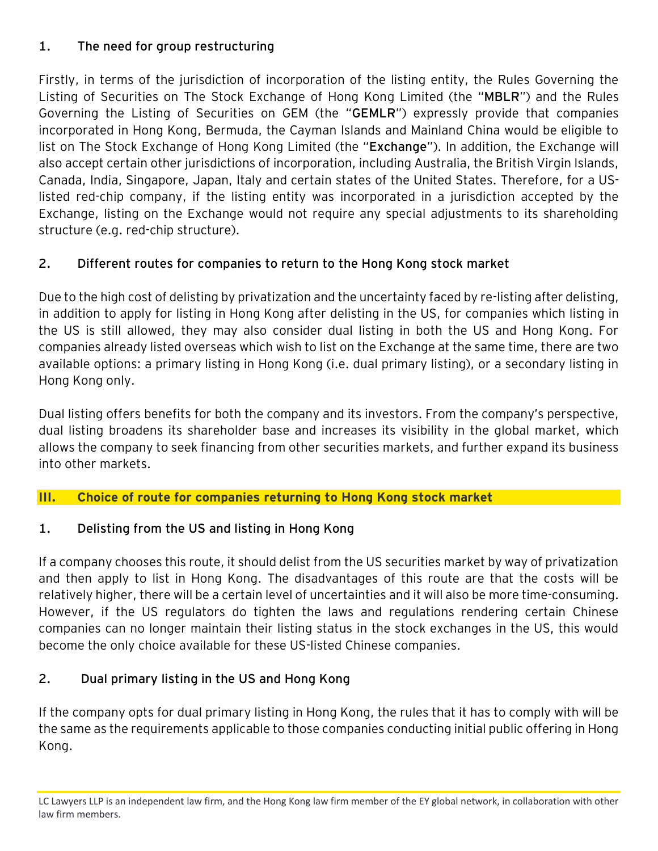# **1. The need for group restructuring**

Firstly, in terms of the jurisdiction of incorporation of the listing entity, the Rules Governing the Listing of Securities on The Stock Exchange of Hong Kong Limited (the "**MBLR**") and the Rules Governing the Listing of Securities on GEM (the "**GEMLR**") expressly provide that companies incorporated in Hong Kong, Bermuda, the Cayman Islands and Mainland China would be eligible to list on The Stock Exchange of Hong Kong Limited (the "**Exchange**"). In addition, the Exchange will also accept certain other jurisdictions of incorporation, including Australia, the British Virgin Islands, Canada, India, Singapore, Japan, Italy and certain states of the United States. Therefore, for a USlisted red-chip company, if the listing entity was incorporated in a jurisdiction accepted by the Exchange, listing on the Exchange would not require any special adjustments to its shareholding structure (e.g. red-chip structure).

# **2. Different routes for companies to return to the Hong Kong stock market**

Due to the high cost of delisting by privatization and the uncertainty faced by re-listing after delisting, in addition to apply for listing in Hong Kong after delisting in the US, for companies which listing in the US is still allowed, they may also consider dual listing in both the US and Hong Kong. For companies already listed overseas which wish to list on the Exchange at the same time, there are two available options: a primary listing in Hong Kong (i.e. dual primary listing), or a secondary listing in Hong Kong only.

Dual listing offers benefits for both the company and its investors. From the company's perspective, dual listing broadens its shareholder base and increases its visibility in the global market, which allows the company to seek financing from other securities markets, and further expand its business into other markets.

#### **III. Choice of route for companies returning to Hong Kong stock market**

# **1. Delisting from the US and listing in Hong Kong**

If a company chooses this route, it should delist from the US securities market by way of privatization and then apply to list in Hong Kong. The disadvantages of this route are that the costs will be relatively higher, there will be a certain level of uncertainties and it will also be more time-consuming. However, if the US regulators do tighten the laws and regulations rendering certain Chinese companies can no longer maintain their listing status in the stock exchanges in the US, this would become the only choice available for these US-listed Chinese companies.

# **2. Dual primary listing in the US and Hong Kong**

If the company opts for dual primary listing in Hong Kong, the rules that it has to comply with will be the same as the requirements applicable to those companies conducting initial public offering in Hong Kong.

LC Lawyers LLP is an independent law firm, and the Hong Kong law firm member of the EY global network, in collaboration with other law firm members.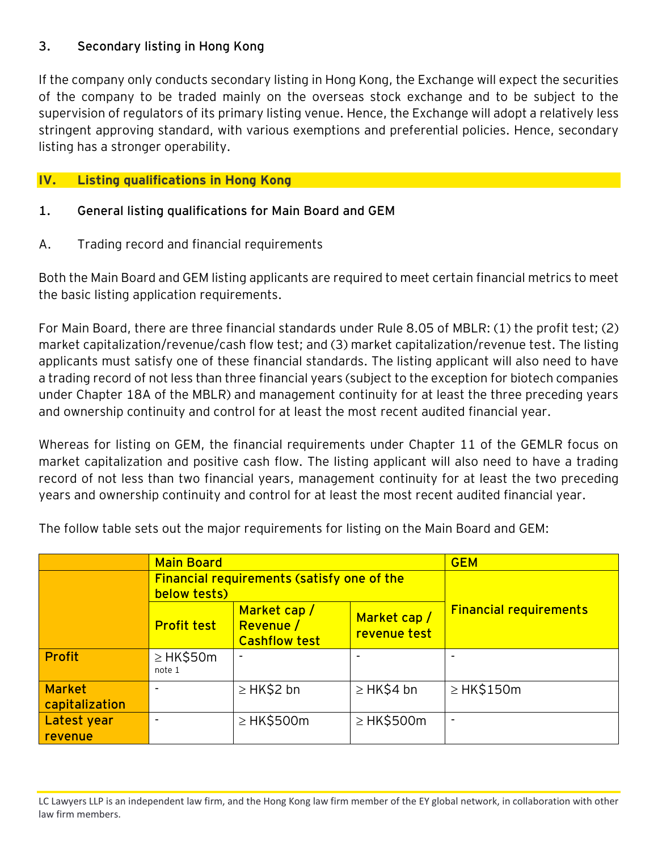### **3. Secondary listing in Hong Kong**

If the company only conducts secondary listing in Hong Kong, the Exchange will expect the securities of the company to be traded mainly on the overseas stock exchange and to be subject to the supervision of regulators of its primary listing venue. Hence, the Exchange will adopt a relatively less stringent approving standard, with various exemptions and preferential policies. Hence, secondary listing has a stronger operability.

# **IV. Listing qualifications in Hong Kong**

## **1. General listing qualifications for Main Board and GEM**

A. Trading record and financial requirements

Both the Main Board and GEM listing applicants are required to meet certain financial metrics to meet the basic listing application requirements.

For Main Board, there are three financial standards under Rule 8.05 of MBLR: (1) the profit test; (2) market capitalization/revenue/cash flow test; and (3) market capitalization/revenue test. The listing applicants must satisfy one of these financial standards. The listing applicant will also need to have a trading record of not less than three financial years (subject to the exception for biotech companies under Chapter 18A of the MBLR) and management continuity for at least the three preceding years and ownership continuity and control for at least the most recent audited financial year.

Whereas for listing on GEM, the financial requirements under Chapter 11 of the GEMLR focus on market capitalization and positive cash flow. The listing applicant will also need to have a trading record of not less than two financial years, management continuity for at least the two preceding years and ownership continuity and control for at least the most recent audited financial year.

The follow table sets out the major requirements for listing on the Main Board and GEM:

|                                 | <b>Main Board</b>                                                 |                                                  |                             | <b>GEM</b>                    |
|---------------------------------|-------------------------------------------------------------------|--------------------------------------------------|-----------------------------|-------------------------------|
|                                 | <b>Financial requirements (satisfy one of the</b><br>below tests) |                                                  |                             |                               |
|                                 | <b>Profit test</b>                                                | Market cap/<br>Revenue /<br><b>Cashflow test</b> | Market cap/<br>revenue test | <b>Financial requirements</b> |
| <b>Profit</b>                   | $\geq$ HK\$50m<br>note 1                                          |                                                  |                             |                               |
| <b>Market</b><br>capitalization |                                                                   | $\geq$ HK\$2 bn                                  | $\geq$ HK\$4 bn             | $\geq$ HK\$150m               |
| Latest year<br>revenue          |                                                                   | $\geq$ HK\$500m                                  | $\geq$ HK\$500m             |                               |

LC Lawyers LLP is an independent law firm, and the Hong Kong law firm member of the EY global network, in collaboration with other law firm members.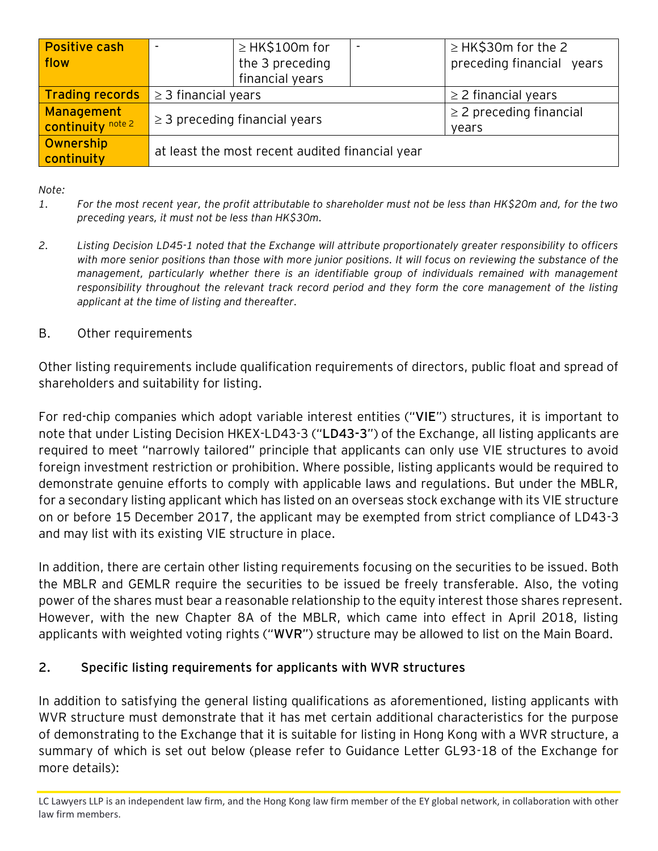| <b>Positive cash</b>     |                                                 | $\geq$ HK\$100m for |                              | $\geq$ HK\$30m for the 2  |
|--------------------------|-------------------------------------------------|---------------------|------------------------------|---------------------------|
| flow                     |                                                 | the 3 preceding     |                              | preceding financial years |
|                          |                                                 | financial years     |                              |                           |
| <b>Trading records</b>   | $\geq$ 3 financial years                        |                     | $\geq$ 2 financial years     |                           |
| Management               | $\geq$ 3 preceding financial years              |                     | $\geq$ 2 preceding financial |                           |
| <b>continuity</b> note 2 |                                                 |                     | years                        |                           |
| Ownership<br>continuity  | at least the most recent audited financial year |                     |                              |                           |

*Note:*

- *1. For the most recent year, the profit attributable to shareholder must not be less than HK\$20m and, for the two preceding years, it must not be less than HK\$30m.*
- *2. Listing Decision LD45-1 noted that the Exchange will attribute proportionately greater responsibility to officers*  with more senior positions than those with more junior positions. It will focus on reviewing the substance of the *management, particularly whether there is an identifiable group of individuals remained with management responsibility throughout the relevant track record period and they form the core management of the listing applicant at the time of listing and thereafter.*
- B. Other requirements

Other listing requirements include qualification requirements of directors, public float and spread of shareholders and suitability for listing.

For red-chip companies which adopt variable interest entities ("**VIE**") structures, it is important to note that under Listing Decision HKEX-LD43-3 ("**LD43-3**") of the Exchange, all listing applicants are required to meet "narrowly tailored" principle that applicants can only use VIE structures to avoid foreign investment restriction or prohibition. Where possible, listing applicants would be required to demonstrate genuine efforts to comply with applicable laws and regulations. But under the MBLR, for a secondary listing applicant which has listed on an overseas stock exchange with its VIE structure on or before 15 December 2017, the applicant may be exempted from strict compliance of LD43-3 and may list with its existing VIE structure in place.

In addition, there are certain other listing requirements focusing on the securities to be issued. Both the MBLR and GEMLR require the securities to be issued be freely transferable. Also, the voting power of the shares must bear a reasonable relationship to the equity interest those shares represent. However, with the new Chapter 8A of the MBLR, which came into effect in April 2018, listing applicants with weighted voting rights ("**WVR**") structure may be allowed to list on the Main Board.

# **2. Specific listing requirements for applicants with WVR structures**

In addition to satisfying the general listing qualifications as aforementioned, listing applicants with WVR structure must demonstrate that it has met certain additional characteristics for the purpose of demonstrating to the Exchange that it is suitable for listing in Hong Kong with a WVR structure, a summary of which is set out below (please refer to Guidance Letter GL93-18 of the Exchange for more details):

LC Lawyers LLP is an independent law firm, and the Hong Kong law firm member of the EY global network, in collaboration with other law firm members.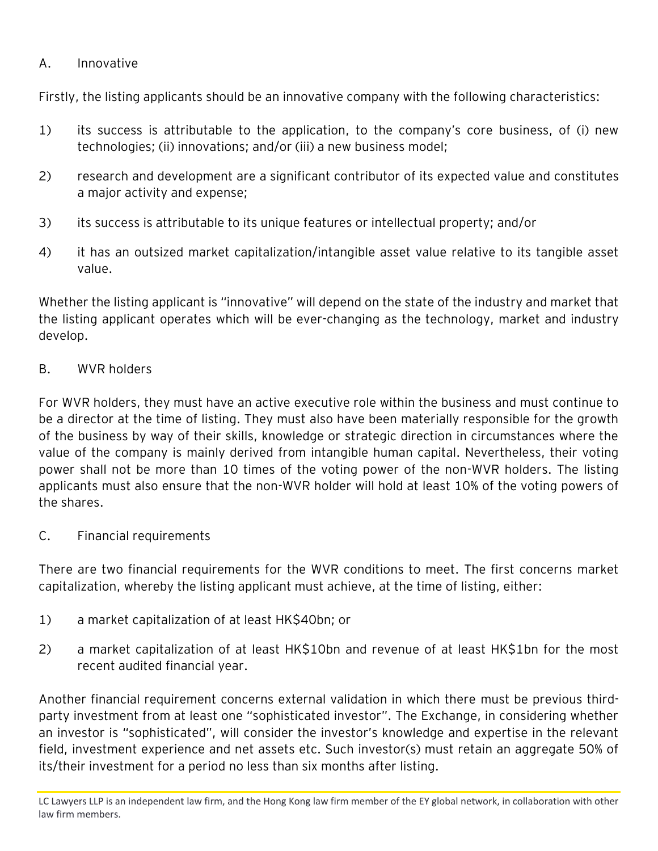## A. Innovative

Firstly, the listing applicants should be an innovative company with the following characteristics:

- 1) its success is attributable to the application, to the company's core business, of (i) new technologies; (ii) innovations; and/or (iii) a new business model;
- 2) research and development are a significant contributor of its expected value and constitutes a major activity and expense;
- 3) its success is attributable to its unique features or intellectual property; and/or
- 4) it has an outsized market capitalization/intangible asset value relative to its tangible asset value.

Whether the listing applicant is "innovative" will depend on the state of the industry and market that the listing applicant operates which will be ever-changing as the technology, market and industry develop.

#### B. WVR holders

For WVR holders, they must have an active executive role within the business and must continue to be a director at the time of listing. They must also have been materially responsible for the growth of the business by way of their skills, knowledge or strategic direction in circumstances where the value of the company is mainly derived from intangible human capital. Nevertheless, their voting power shall not be more than 10 times of the voting power of the non-WVR holders. The listing applicants must also ensure that the non-WVR holder will hold at least 10% of the voting powers of the shares.

C. Financial requirements

There are two financial requirements for the WVR conditions to meet. The first concerns market capitalization, whereby the listing applicant must achieve, at the time of listing, either:

- 1) a market capitalization of at least HK\$40bn; or
- 2) a market capitalization of at least HK\$10bn and revenue of at least HK\$1bn for the most recent audited financial year.

Another financial requirement concerns external validation in which there must be previous thirdparty investment from at least one "sophisticated investor". The Exchange, in considering whether an investor is "sophisticated", will consider the investor's knowledge and expertise in the relevant field, investment experience and net assets etc. Such investor(s) must retain an aggregate 50% of its/their investment for a period no less than six months after listing.

LC Lawyers LLP is an independent law firm, and the Hong Kong law firm member of the EY global network, in collaboration with other law firm members.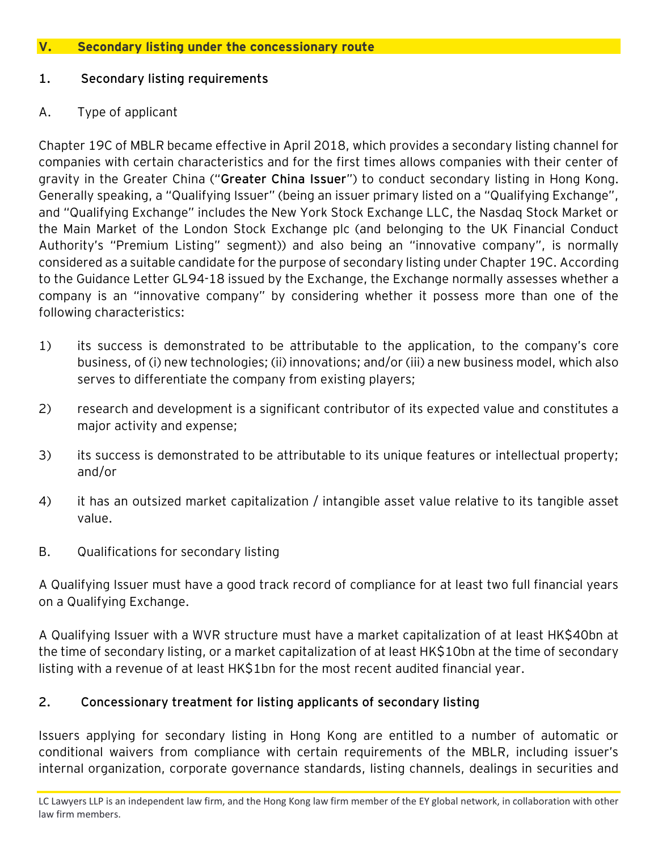#### **V. Secondary listing under the concessionary route**

#### **1. Secondary listing requirements**

#### A. Type of applicant

Chapter 19C of MBLR became effective in April 2018, which provides a secondary listing channel for companies with certain characteristics and for the first times allows companies with their center of gravity in the Greater China ("**Greater China Issuer**") to conduct secondary listing in Hong Kong. Generally speaking, a "Qualifying Issuer" (being an issuer primary listed on a "Qualifying Exchange", and "Qualifying Exchange" includes the New York Stock Exchange LLC, the Nasdaq Stock Market or the Main Market of the London Stock Exchange plc (and belonging to the UK Financial Conduct Authority's "Premium Listing" segment)) and also being an "innovative company", is normally considered as a suitable candidate for the purpose of secondary listing under Chapter 19C. According to the Guidance Letter GL94-18 issued by the Exchange, the Exchange normally assesses whether a company is an "innovative company" by considering whether it possess more than one of the following characteristics:

- 1) its success is demonstrated to be attributable to the application, to the company's core business, of (i) new technologies; (ii) innovations; and/or (iii) a new business model, which also serves to differentiate the company from existing players;
- 2) research and development is a significant contributor of its expected value and constitutes a major activity and expense;
- 3) its success is demonstrated to be attributable to its unique features or intellectual property; and/or
- 4) it has an outsized market capitalization / intangible asset value relative to its tangible asset value.
- B. Qualifications for secondary listing

A Qualifying Issuer must have a good track record of compliance for at least two full financial years on a Qualifying Exchange.

A Qualifying Issuer with a WVR structure must have a market capitalization of at least HK\$40bn at the time of secondary listing, or a market capitalization of at least HK\$10bn at the time of secondary listing with a revenue of at least HK\$1bn for the most recent audited financial year.

# **2. Concessionary treatment for listing applicants of secondary listing**

Issuers applying for secondary listing in Hong Kong are entitled to a number of automatic or conditional waivers from compliance with certain requirements of the MBLR, including issuer's internal organization, corporate governance standards, listing channels, dealings in securities and

LC Lawyers LLP is an independent law firm, and the Hong Kong law firm member of the EY global network, in collaboration with other law firm members.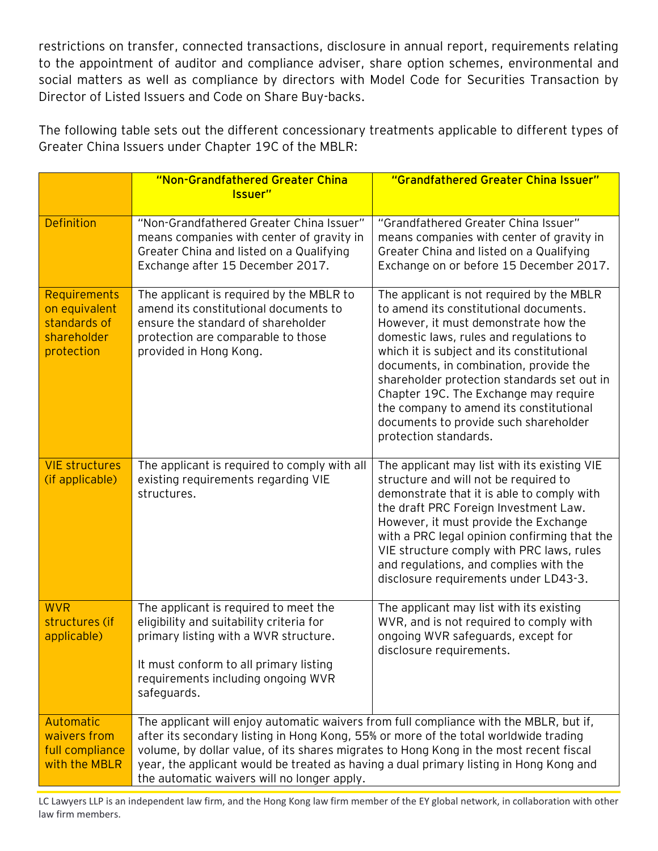restrictions on transfer, connected transactions, disclosure in annual report, requirements relating to the appointment of auditor and compliance adviser, share option schemes, environmental and social matters as well as compliance by directors with Model Code for Securities Transaction by Director of Listed Issuers and Code on Share Buy-backs.

The following table sets out the different concessionary treatments applicable to different types of Greater China Issuers under Chapter 19C of the MBLR:

|                                                                            | "Non-Grandfathered Greater China<br>Issuer"                                                                                                                                                                                                                                                                                                                                                                       | "Grandfathered Greater China Issuer"                                                                                                                                                                                                                                                                                                                                                                                                                                |  |
|----------------------------------------------------------------------------|-------------------------------------------------------------------------------------------------------------------------------------------------------------------------------------------------------------------------------------------------------------------------------------------------------------------------------------------------------------------------------------------------------------------|---------------------------------------------------------------------------------------------------------------------------------------------------------------------------------------------------------------------------------------------------------------------------------------------------------------------------------------------------------------------------------------------------------------------------------------------------------------------|--|
| <b>Definition</b>                                                          | "Non-Grandfathered Greater China Issuer"<br>means companies with center of gravity in<br>Greater China and listed on a Qualifying<br>Exchange after 15 December 2017.                                                                                                                                                                                                                                             | "Grandfathered Greater China Issuer"<br>means companies with center of gravity in<br>Greater China and listed on a Qualifying<br>Exchange on or before 15 December 2017.                                                                                                                                                                                                                                                                                            |  |
| Requirements<br>on equivalent<br>standards of<br>shareholder<br>protection | The applicant is required by the MBLR to<br>amend its constitutional documents to<br>ensure the standard of shareholder<br>protection are comparable to those<br>provided in Hong Kong.                                                                                                                                                                                                                           | The applicant is not required by the MBLR<br>to amend its constitutional documents.<br>However, it must demonstrate how the<br>domestic laws, rules and regulations to<br>which it is subject and its constitutional<br>documents, in combination, provide the<br>shareholder protection standards set out in<br>Chapter 19C. The Exchange may require<br>the company to amend its constitutional<br>documents to provide such shareholder<br>protection standards. |  |
| <b>VIE structures</b><br>(if applicable)                                   | The applicant is required to comply with all<br>existing requirements regarding VIE<br>structures.                                                                                                                                                                                                                                                                                                                | The applicant may list with its existing VIE<br>structure and will not be required to<br>demonstrate that it is able to comply with<br>the draft PRC Foreign Investment Law.<br>However, it must provide the Exchange<br>with a PRC legal opinion confirming that the<br>VIE structure comply with PRC laws, rules<br>and regulations, and complies with the<br>disclosure requirements under LD43-3.                                                               |  |
| <b>WVR</b><br>structures (if<br>applicable)                                | The applicant is required to meet the<br>eligibility and suitability criteria for<br>primary listing with a WVR structure.<br>It must conform to all primary listing<br>requirements including ongoing WVR<br>safeguards.                                                                                                                                                                                         | The applicant may list with its existing<br>WVR, and is not required to comply with<br>ongoing WVR safeguards, except for<br>disclosure requirements.                                                                                                                                                                                                                                                                                                               |  |
| <b>Automatic</b><br>waivers from<br>full compliance<br>with the MBLR       | The applicant will enjoy automatic waivers from full compliance with the MBLR, but if,<br>after its secondary listing in Hong Kong, 55% or more of the total worldwide trading<br>volume, by dollar value, of its shares migrates to Hong Kong in the most recent fiscal<br>year, the applicant would be treated as having a dual primary listing in Hong Kong and<br>the automatic waivers will no longer apply. |                                                                                                                                                                                                                                                                                                                                                                                                                                                                     |  |

LC Lawyers LLP is an independent law firm, and the Hong Kong law firm member of the EY global network, in collaboration with other law firm members.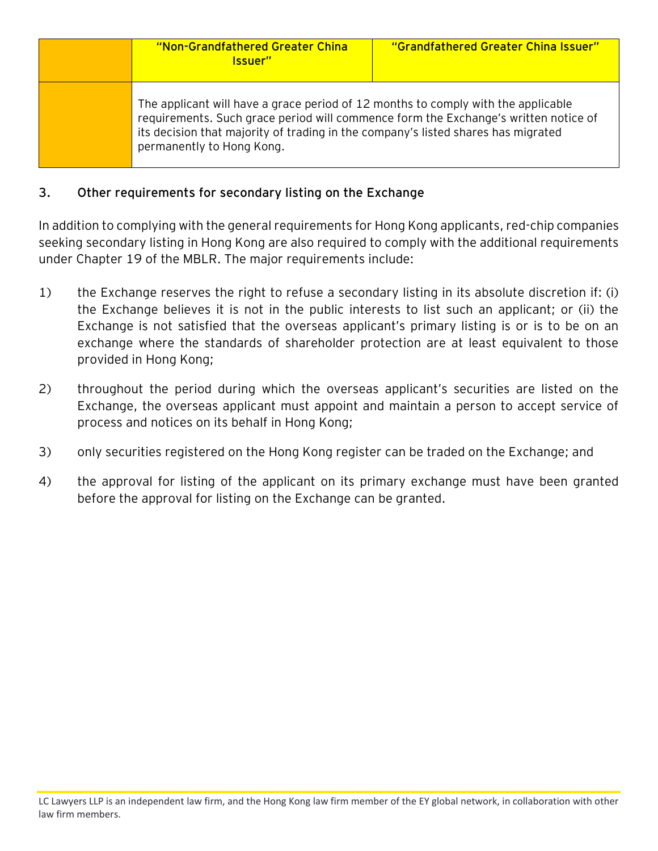| "Non-Grandfathered Greater China<br>Issuer"                                                                                                                                                                                                                                                | "Grandfathered Greater China Issuer" |
|--------------------------------------------------------------------------------------------------------------------------------------------------------------------------------------------------------------------------------------------------------------------------------------------|--------------------------------------|
| The applicant will have a grace period of 12 months to comply with the applicable<br>requirements. Such grace period will commence form the Exchange's written notice of<br>its decision that majority of trading in the company's listed shares has migrated<br>permanently to Hong Kong. |                                      |

### **3. Other requirements for secondary listing on the Exchange**

In addition to complying with the general requirements for Hong Kong applicants, red-chip companies seeking secondary listing in Hong Kong are also required to comply with the additional requirements under Chapter 19 of the MBLR. The major requirements include:

- 1) the Exchange reserves the right to refuse a secondary listing in its absolute discretion if: (i) the Exchange believes it is not in the public interests to list such an applicant; or (ii) the Exchange is not satisfied that the overseas applicant's primary listing is or is to be on an exchange where the standards of shareholder protection are at least equivalent to those provided in Hong Kong;
- 2) throughout the period during which the overseas applicant's securities are listed on the Exchange, the overseas applicant must appoint and maintain a person to accept service of process and notices on its behalf in Hong Kong;
- 3) only securities registered on the Hong Kong register can be traded on the Exchange; and
- 4) the approval for listing of the applicant on its primary exchange must have been granted before the approval for listing on the Exchange can be granted.